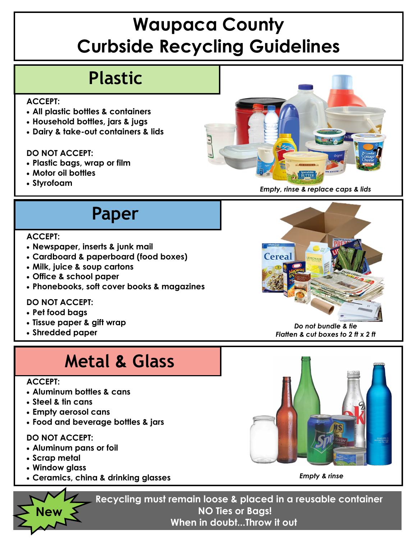# **Waupaca County Curbside Recycling Guidelines**

### **Plastic**

#### **ACCEPT:**

- **All plastic bottles & containers**
- **Household bottles, jars & jugs**
- **Dairy & take-out containers & lids**

### **DO NOT ACCEPT:**

- **Plastic bags, wrap or film**
- **Motor oil bottles**
- 



## **Paper**

#### **ACCEPT:**

- **Newspaper, inserts & junk mail**
- **Cardboard & paperboard (food boxes)**
- **Milk, juice & soup cartons**
- **Office & school paper**
- **Phonebooks, soft cover books & magazines**

### **DO NOT ACCEPT:**

- **Pet food bags**
- **Tissue paper & gift wrap**
- **Shredded paper**

## **Metal & Glass**

#### **ACCEPT:**

- **Aluminum bottles & cans**
- **Steel & tin cans**
- **Empty aerosol cans**
- **Food and beverage bottles & jars**

### **DO NOT ACCEPT:**

- **Aluminum pans or foil**
- **Scrap metal**

**New** 

- **Window glass**
- **Ceramics, china & drinking glasses**



*Do not bundle & tie Flatten & cut boxes to 2 ft x 2 ft*



*Empty & rinse* 

**Recycling must remain loose & placed in a reusable container NO Ties or Bags! When in doubt...Throw it out**